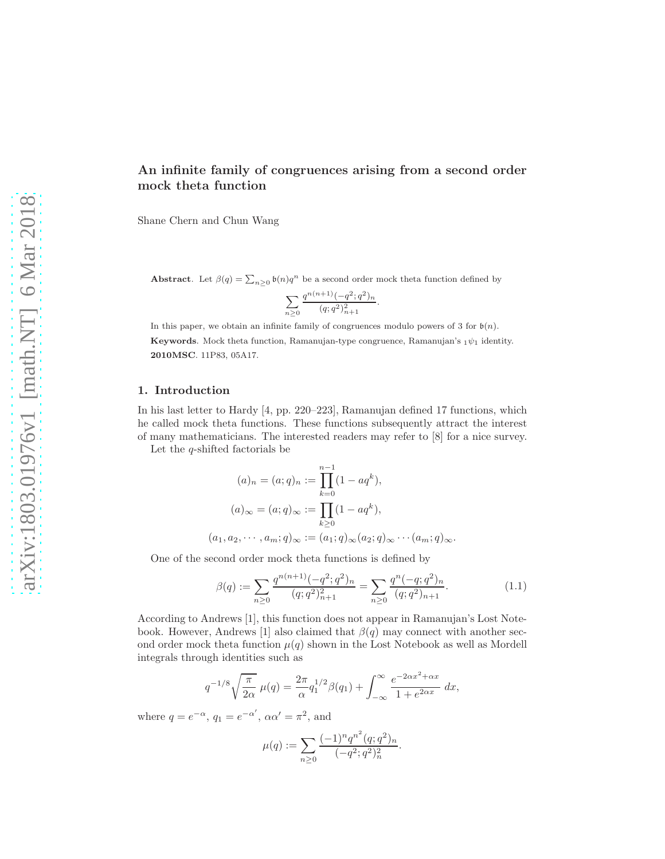# An infinite family of congruences arising from a second order mock theta function

Shane Chern and Chun Wang

Abstract. Let  $\beta(q) = \sum_{n\geq 0} \mathfrak{b}(n) q^n$  be a second order mock theta function defined by

$$
\sum_{n\geq 0} \frac{q^{n(n+1)}(-q^2;q^2)_n}{(q;q^2)_{n+1}^2}
$$

.

In this paper, we obtain an infinite family of congruences modulo powers of 3 for  $\mathfrak{b}(n)$ . Keywords. Mock theta function, Ramanujan-type congruence, Ramanujan's  $_1\psi_1$  identity. 2010MSC. 11P83, 05A17.

#### 1. Introduction

In his last letter to Hardy [\[4,](#page-10-0) pp. 220–223], Ramanujan defined 17 functions, which he called mock theta functions. These functions subsequently attract the interest of many mathematicians. The interested readers may refer to [\[8\]](#page-10-1) for a nice survey.

Let the  $q$ -shifted factorials be

$$
(a)_n = (a;q)_n := \prod_{k=0}^{n-1} (1 - aq^k),
$$
  
\n
$$
(a)_{\infty} = (a;q)_{\infty} := \prod_{k\geq 0} (1 - aq^k),
$$
  
\n
$$
(a_1, a_2, \cdots, a_m; q)_{\infty} := (a_1; q)_{\infty} (a_2; q)_{\infty} \cdots (a_m; q)_{\infty}.
$$

One of the second order mock theta functions is defined by

$$
\beta(q) := \sum_{n\geq 0} \frac{q^{n(n+1)}(-q^2;q^2)_n}{(q;q^2)_{n+1}^2} = \sum_{n\geq 0} \frac{q^n(-q;q^2)_n}{(q;q^2)_{n+1}}.
$$
\n(1.1)

According to Andrews [\[1\]](#page-10-2), this function does not appear in Ramanujan's Lost Note-book. However, Andrews [\[1\]](#page-10-2) also claimed that  $\beta(q)$  may connect with another second order mock theta function  $\mu(q)$  shown in the Lost Notebook as well as Mordell integrals through identities such as

$$
q^{-1/8}\sqrt{\frac{\pi}{2\alpha}}\ \mu(q) = \frac{2\pi}{\alpha}q_1^{1/2}\beta(q_1) + \int_{-\infty}^{\infty} \frac{e^{-2\alpha x^2 + \alpha x}}{1 + e^{2\alpha x}}\ dx,
$$

where  $q = e^{-\alpha}$ ,  $q_1 = e^{-\alpha'}$ ,  $\alpha \alpha' = \pi^2$ , and

$$
\mu(q) := \sum_{n\geq 0} \frac{(-1)^n q^{n^2} (q;q^2)_n}{(-q^2;q^2)_n^2}.
$$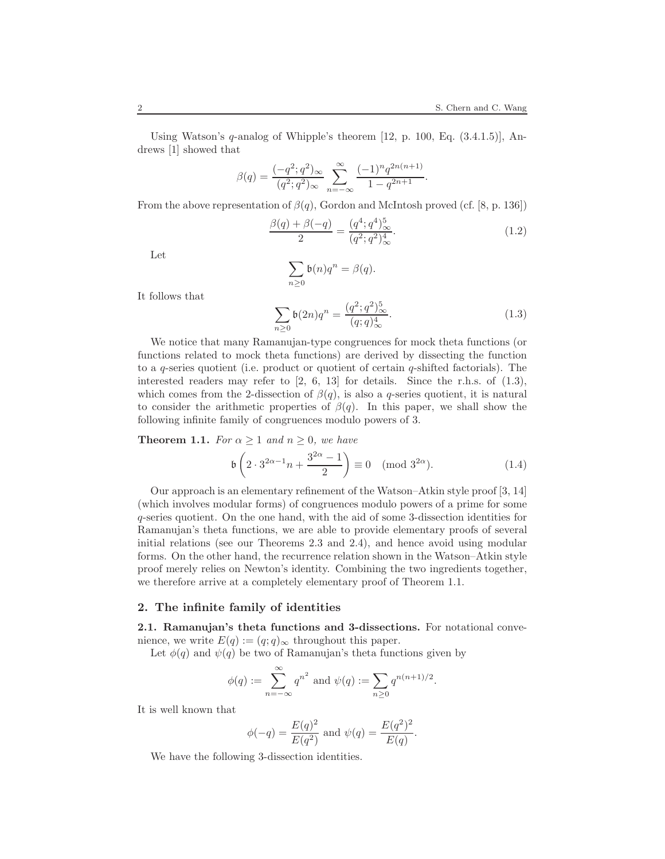Using Watson's  $q$ -analog of Whipple's theorem [\[12,](#page-11-0) p. 100, Eq.  $(3.4.1.5)$ ], Andrews [\[1\]](#page-10-2) showed that

$$
\beta(q) = \frac{(-q^2;q^2)_{\infty}}{(q^2;q^2)_{\infty}} \sum_{n=-\infty}^{\infty} \frac{(-1)^n q^{2n(n+1)}}{1-q^{2n+1}}.
$$

From the above representation of  $\beta(q)$ , Gordon and McIntosh proved (cf. [\[8,](#page-10-1) p. 136])

<span id="page-1-3"></span>
$$
\frac{\beta(q) + \beta(-q)}{2} = \frac{(q^4; q^4)_\infty^5}{(q^2; q^2)_\infty^4}.
$$
\n(1.2)

Let

$$
\sum_{n\geq 0} \mathfrak{b}(n)q^n = \beta(q).
$$

It follows that

<span id="page-1-0"></span>
$$
\sum_{n\geq 0} \mathfrak{b}(2n)q^n = \frac{(q^2;q^2)_\infty^5}{(q;q)_\infty^4}.
$$
\n(1.3)

We notice that many Ramanujan-type congruences for mock theta functions (or functions related to mock theta functions) are derived by dissecting the function to a q-series quotient (i.e. product or quotient of certain q-shifted factorials). The interested readers may refer to  $\begin{bmatrix} 2, 6, 13 \end{bmatrix}$  $\begin{bmatrix} 2, 6, 13 \end{bmatrix}$  $\begin{bmatrix} 2, 6, 13 \end{bmatrix}$  for details. Since the r.h.s. of  $(1.3)$ , which comes from the 2-dissection of  $\beta(q)$ , is also a q-series quotient, it is natural to consider the arithmetic properties of  $\beta(q)$ . In this paper, we shall show the following infinite family of congruences modulo powers of 3.

<span id="page-1-1"></span>**Theorem 1.1.** For  $\alpha \geq 1$  and  $n \geq 0$ , we have

<span id="page-1-2"></span>
$$
\mathfrak{b}\left(2 \cdot 3^{2\alpha - 1} n + \frac{3^{2\alpha} - 1}{2}\right) \equiv 0 \pmod{3^{2\alpha}}.
$$
\n(1.4)

Our approach is an elementary refinement of the Watson–Atkin style proof [\[3,](#page-10-5) [14\]](#page-11-2) (which involves modular forms) of congruences modulo powers of a prime for some q-series quotient. On the one hand, with the aid of some 3-dissection identities for Ramanujan's theta functions, we are able to provide elementary proofs of several initial relations (see our Theorems [2.3](#page-3-0) and [2.4\)](#page-3-1), and hence avoid using modular forms. On the other hand, the recurrence relation shown in the Watson–Atkin style proof merely relies on Newton's identity. Combining the two ingredients together, we therefore arrive at a completely elementary proof of Theorem [1.1.](#page-1-1)

### 2. The infinite family of identities

2.1. Ramanujan's theta functions and 3-dissections. For notational convenience, we write  $E(q) := (q; q)_{\infty}$  throughout this paper.

Let  $\phi(q)$  and  $\psi(q)$  be two of Ramanujan's theta functions given by

$$
\phi(q) := \sum_{n=-\infty}^{\infty} q^{n^2}
$$
 and  $\psi(q) := \sum_{n\geq 0} q^{n(n+1)/2}$ .

It is well known that

$$
\phi(-q) = \frac{E(q)^2}{E(q^2)}
$$
 and  $\psi(q) = \frac{E(q^2)^2}{E(q)}$ .

We have the following 3-dissection identities.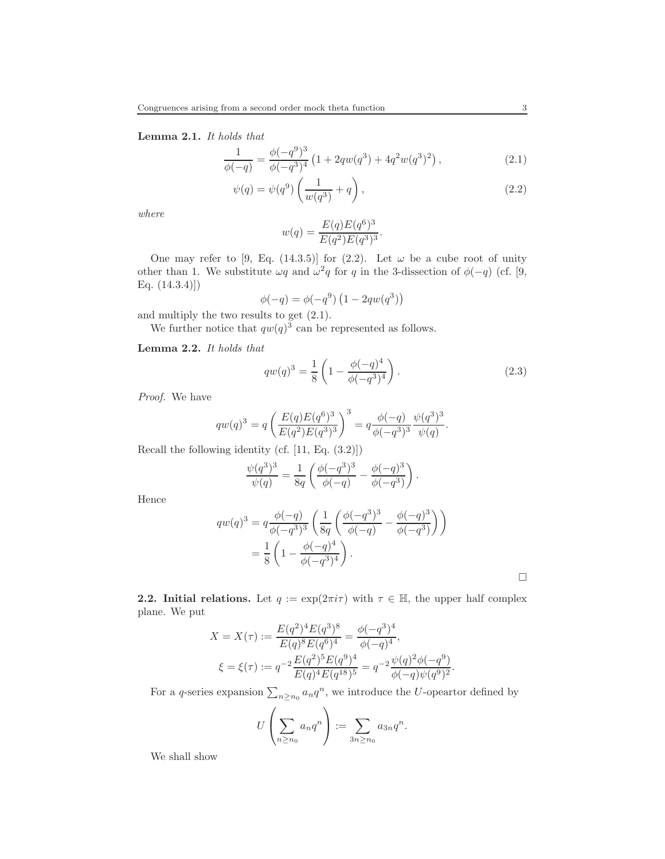Lemma 2.1. It holds that

$$
\frac{1}{\phi(-q)} = \frac{\phi(-q^9)^3}{\phi(-q^3)^4} \left(1 + 2qw(q^3) + 4q^2w(q^3)^2\right),\tag{2.1}
$$

$$
\psi(q) = \psi(q^9) \left(\frac{1}{w(q^3)} + q\right),\tag{2.2}
$$

where

<span id="page-2-1"></span><span id="page-2-0"></span>
$$
w(q) = \frac{E(q)E(q^{6})^3}{E(q^2)E(q^3)^3}.
$$

One may refer to [\[9,](#page-11-3) Eq. (14.3.5)] for [\(2.2\)](#page-2-0). Let  $\omega$  be a cube root of unity other than 1. We substitute  $\omega q$  and  $\omega^2 q$  for q in the 3-dissection of  $\phi(-q)$  (cf. [\[9,](#page-11-3) Eq. (14.3.4)])

$$
\phi(-q) = \phi(-q^{9}) (1 - 2qw(q^{3}))
$$

and multiply the two results to get [\(2.1\)](#page-2-1).

We further notice that  $qw(q)^3$  can be represented as follows.

<span id="page-2-2"></span>Lemma 2.2. It holds that

$$
qw(q)^3 = \frac{1}{8} \left( 1 - \frac{\phi(-q)^4}{\phi(-q^3)^4} \right). \tag{2.3}
$$

Proof. We have

$$
qw(q)^{3} = q \left( \frac{E(q)E(q^{6})^{3}}{E(q^{2})E(q^{3})^{3}} \right)^{3} = q \frac{\phi(-q)}{\phi(-q^{3})^{3}} \frac{\psi(q^{3})^{3}}{\psi(q)}.
$$

Recall the following identity (cf. [\[11,](#page-11-4) Eq. (3.2)])

$$
\frac{\psi(q^3)^3}{\psi(q)} = \frac{1}{8q} \left( \frac{\phi(-q^3)^3}{\phi(-q)} - \frac{\phi(-q)^3}{\phi(-q^3)} \right).
$$

Hence

$$
qw(q)^3 = q \frac{\phi(-q)}{\phi(-q^3)^3} \left( \frac{1}{8q} \left( \frac{\phi(-q^3)^3}{\phi(-q)} - \frac{\phi(-q)^3}{\phi(-q^3)} \right) \right)
$$
  
=  $\frac{1}{8} \left( 1 - \frac{\phi(-q)^4}{\phi(-q^3)^4} \right).$ 

**2.2. Initial relations.** Let  $q := \exp(2\pi i \tau)$  with  $\tau \in \mathbb{H}$ , the upper half complex plane. We put

$$
X = X(\tau) := \frac{E(q^2)^4 E(q^3)^8}{E(q)^8 E(q^6)^4} = \frac{\phi(-q^3)^4}{\phi(-q)^4},
$$
  

$$
\xi = \xi(\tau) := q^{-2} \frac{E(q^2)^5 E(q^9)^4}{E(q)^4 E(q^{18})^5} = q^{-2} \frac{\psi(q)^2 \phi(-q^9)}{\phi(-q)\psi(q^9)^2}.
$$

For a q-series expansion  $\sum_{n\geq n_0} a_n q^n$ , we introduce the U-opeartor defined by

$$
U\left(\sum_{n\geq n_0}a_nq^n\right):=\sum_{3n\geq n_0}a_{3n}q^n.
$$

We shall show

 $\Box$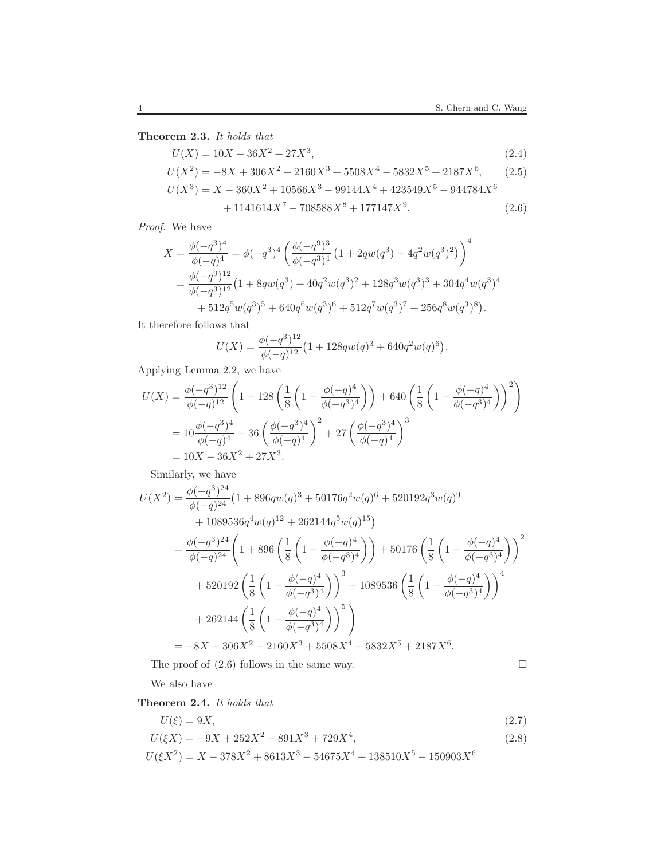<span id="page-3-0"></span>Theorem 2.3. It holds that

$$
U(X) = 10X - 36X^{2} + 27X^{3},
$$
\n(2.4)  
\n
$$
U(X^{2}) = -8X + 306X^{2} - 2160X^{3} + 5508X^{4} - 5832X^{5} + 2187X^{6},
$$
\n(2.5)  
\n
$$
U(X^{3}) = X - 360X^{2} + 10566X^{3} - 99144X^{4} + 423549X^{5} - 944784X^{6}
$$
\n
$$
+ 1141614X^{7} - 708588X^{8} + 177147X^{9}. \tag{2.6}
$$

Proof. We have

$$
X = \frac{\phi(-q^3)^4}{\phi(-q)^4} = \phi(-q^3)^4 \left( \frac{\phi(-q^9)^3}{\phi(-q^3)^4} \left( 1 + 2qw(q^3) + 4q^2w(q^3)^2 \right) \right)^4
$$
  
=  $\frac{\phi(-q^9)^{12}}{\phi(-q^3)^{12}} \left( 1 + 8qw(q^3) + 40q^2w(q^3)^2 + 128q^3w(q^3)^3 + 304q^4w(q^3)^4 + 512q^5w(q^3)^5 + 640q^6w(q^3)^6 + 512q^7w(q^3)^7 + 256q^8w(q^3)^8 \right).$ 

It therefore follows that

<span id="page-3-2"></span>
$$
U(X) = \frac{\phi(-q^{3})^{12}}{\phi(-q)^{12}} \left(1 + 128qw(q)^{3} + 640q^{2}w(q)^{6}\right).
$$

Applying Lemma [2.2,](#page-2-2) we have

$$
U(X) = \frac{\phi(-q^{3})^{12}}{\phi(-q)^{12}} \left( 1 + 128 \left( \frac{1}{8} \left( 1 - \frac{\phi(-q)^{4}}{\phi(-q^{3})^{4}} \right) \right) + 640 \left( \frac{1}{8} \left( 1 - \frac{\phi(-q)^{4}}{\phi(-q^{3})^{4}} \right) \right)^{2} \right)
$$
  
=  $10 \frac{\phi(-q^{3})^{4}}{\phi(-q)^{4}} - 36 \left( \frac{\phi(-q^{3})^{4}}{\phi(-q)^{4}} \right)^{2} + 27 \left( \frac{\phi(-q^{3})^{4}}{\phi(-q)^{4}} \right)^{3}$   
=  $10X - 36X^{2} + 27X^{3}$ .

Similarly, we have

$$
U(X^{2}) = \frac{\phi(-q^{3})^{24}}{\phi(-q)^{24}} \left(1 + 896qw(q)^{3} + 50176q^{2}w(q)^{6} + 520192q^{3}w(q)^{9} + 1089536q^{4}w(q)^{12} + 262144q^{5}w(q)^{15}\right)
$$
  
=  $\frac{\phi(-q^{3})^{24}}{\phi(-q)^{24}} \left(1 + 896\left(\frac{1}{8}\left(1 - \frac{\phi(-q)^{4}}{\phi(-q^{3})^{4}}\right)\right) + 50176\left(\frac{1}{8}\left(1 - \frac{\phi(-q)^{4}}{\phi(-q^{3})^{4}}\right)\right)^{2} + 520192\left(\frac{1}{8}\left(1 - \frac{\phi(-q)^{4}}{\phi(-q^{3})^{4}}\right)\right)^{3} + 1089536\left(\frac{1}{8}\left(1 - \frac{\phi(-q)^{4}}{\phi(-q^{3})^{4}}\right)\right)^{4} + 262144\left(\frac{1}{8}\left(1 - \frac{\phi(-q)^{4}}{\phi(-q^{3})^{4}}\right)\right)^{5}\right)$   
=  $-8X + 306X^{2} - 2160X^{3} + 5508X^{4} - 5832X^{5} + 2187X^{6}.$ 

The proof of  $(2.6)$  follows in the same way.  $\Box$ 

<span id="page-3-3"></span>

We also have

<span id="page-3-1"></span>Theorem 2.4. It holds that

$$
U(\xi) = 9X,\tag{2.7}
$$

$$
U(\xi X) = -9X + 252X^2 - 891X^3 + 729X^4,\tag{2.8}
$$

$$
U(\xi X^2) = X - 378X^2 + 8613X^3 - 54675X^4 + 138510X^5 - 150903X^6
$$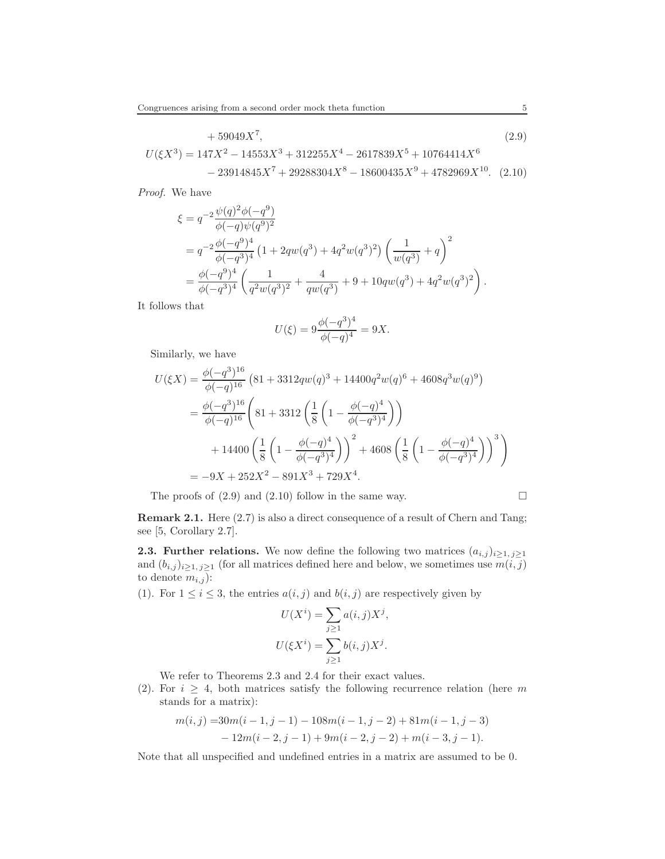$$
+ 59049X7, \t(2.9)
$$
  

$$
U(\xi X3) = 147X2 - 14553X3 + 312255X4 - 2617839X5 + 10764414X6
$$
  

$$
- 23914845X7 + 29288304X8 - 18600435X9 + 4782969X10. \t(2.10)
$$

Proof. We have

$$
\xi = q^{-2} \frac{\psi(q)^2 \phi(-q^9)}{\phi(-q)\psi(q^9)^2}
$$
  
=  $q^{-2} \frac{\phi(-q^9)^4}{\phi(-q^3)^4} (1 + 2qw(q^3) + 4q^2w(q^3)^2) \left(\frac{1}{w(q^3)} + q\right)^2$   
=  $\frac{\phi(-q^9)^4}{\phi(-q^3)^4} \left(\frac{1}{q^2w(q^3)^2} + \frac{4}{qw(q^3)} + 9 + 10qw(q^3) + 4q^2w(q^3)^2\right).$ 

It follows that

<span id="page-4-1"></span><span id="page-4-0"></span>
$$
U(\xi)=9\frac{\phi(-q^3)^4}{\phi(-q)^4}=9X.
$$

Similarly, we have

$$
U(\xi X) = \frac{\phi(-q^3)^{16}}{\phi(-q)^{16}} \left(81 + 3312qw(q)^3 + 14400q^2w(q)^6 + 4608q^3w(q)^9\right)
$$
  
=  $\frac{\phi(-q^3)^{16}}{\phi(-q)^{16}} \left(81 + 3312\left(\frac{1}{8}\left(1 - \frac{\phi(-q)^4}{\phi(-q^3)^4}\right)\right) + 14400\left(\frac{1}{8}\left(1 - \frac{\phi(-q)^4}{\phi(-q^3)^4}\right)\right)^2 + 4608\left(\frac{1}{8}\left(1 - \frac{\phi(-q)^4}{\phi(-q^3)^4}\right)\right)^3\right)$   
=  $-9X + 252X^2 - 891X^3 + 729X^4$ .

The proofs of [\(2.9\)](#page-4-0) and [\(2.10\)](#page-4-1) follow in the same way.

$$
\Box
$$

Remark 2.1. Here  $(2.7)$  is also a direct consequence of a result of Chern and Tang; see [\[5,](#page-10-6) Corollary 2.7].

**2.3. Further relations.** We now define the following two matrices  $(a_{i,j})_{i\geq 1, j\geq 1}$ and  $(b_{i,j})_{i\geq 1, j\geq 1}$  (for all matrices defined here and below, we sometimes use  $m(i, j)$ to denote  $m_{i,j}$ ):

(1). For  $1 \leq i \leq 3$ , the entries  $a(i, j)$  and  $b(i, j)$  are respectively given by

$$
U(Xi) = \sum_{j\geq 1} a(i,j)Xj,
$$
  

$$
U(\xi Xi) = \sum_{j\geq 1} b(i,j)Xj.
$$

We refer to Theorems [2.3](#page-3-0) and [2.4](#page-3-1) for their exact values.

(2). For  $i \geq 4$ , both matrices satisfy the following recurrence relation (here m stands for a matrix):

$$
m(i, j) = 30m(i - 1, j - 1) - 108m(i - 1, j - 2) + 81m(i - 1, j - 3)
$$
  
- 12m(i - 2, j - 1) + 9m(i - 2, j - 2) + m(i - 3, j - 1).

Note that all unspecified and undefined entries in a matrix are assumed to be 0.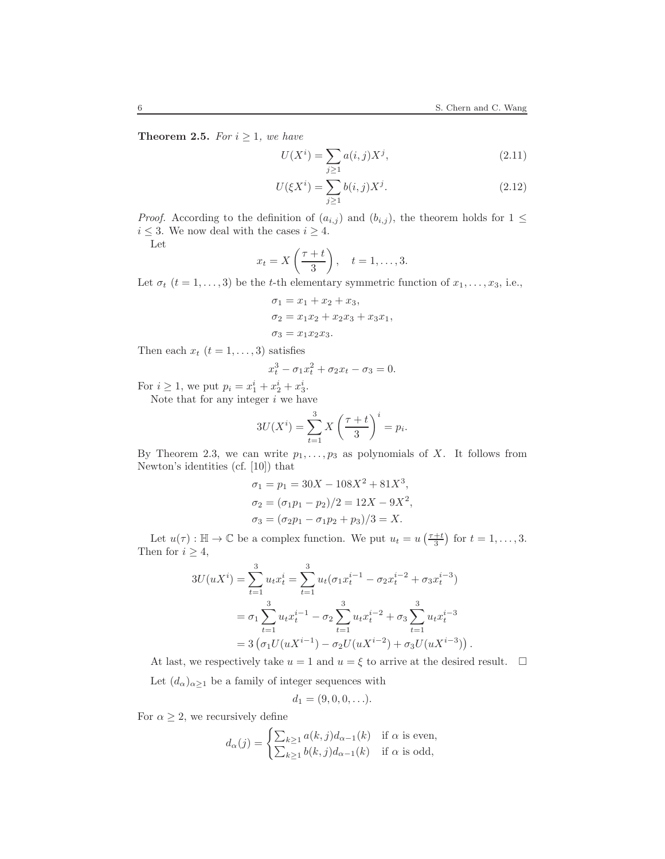**Theorem 2.5.** For  $i \geq 1$ , we have

$$
U(X^{i}) = \sum_{j\geq 1} a(i,j)X^{j},
$$
\n(2.11)

$$
U(\xi X^i) = \sum_{j \ge 1} b(i, j) X^j.
$$
 (2.12)

*Proof.* According to the definition of  $(a_{i,j})$  and  $(b_{i,j})$ , the theorem holds for  $1 \leq$  $i\leq 3.$  We now deal with the cases  $i\geq 4.$ 

Let

$$
x_t = X\left(\frac{\tau + t}{3}\right), \quad t = 1, \dots, 3.
$$

Let  $\sigma_t$   $(t = 1, \ldots, 3)$  be the t-th elementary symmetric function of  $x_1, \ldots, x_3$ , i.e.,

$$
\sigma_1 = x_1 + x_2 + x_3,\n\sigma_2 = x_1x_2 + x_2x_3 + x_3x_1,\n\sigma_3 = x_1x_2x_3.
$$

Then each  $x_t$   $(t = 1, \ldots, 3)$  satisfies

$$
x_t^3 - \sigma_1 x_t^2 + \sigma_2 x_t - \sigma_3 = 0.
$$

For  $i \ge 1$ , we put  $p_i = x_1^i + x_2^i + x_3^i$ .

Note that for any integer  $i$  we have

$$
3U(X^{i}) = \sum_{t=1}^{3} X\left(\frac{\tau + t}{3}\right)^{i} = p_{i}.
$$

By Theorem [2.3,](#page-3-0) we can write  $p_1, \ldots, p_3$  as polynomials of X. It follows from Newton's identities (cf. [\[10\]](#page-11-5)) that

$$
\sigma_1 = p_1 = 30X - 108X^2 + 81X^3,
$$
  
\n
$$
\sigma_2 = (\sigma_1 p_1 - p_2)/2 = 12X - 9X^2,
$$
  
\n
$$
\sigma_3 = (\sigma_2 p_1 - \sigma_1 p_2 + p_3)/3 = X.
$$

Let  $u(\tau) : \mathbb{H} \to \mathbb{C}$  be a complex function. We put  $u_t = u\left(\frac{\tau+t}{3}\right)$  for  $t = 1, \ldots, 3$ . Then for  $i \geq 4$ ,

$$
3U(uX^{i}) = \sum_{t=1}^{3} u_{t}x_{t}^{i} = \sum_{t=1}^{3} u_{t}(\sigma_{1}x_{t}^{i-1} - \sigma_{2}x_{t}^{i-2} + \sigma_{3}x_{t}^{i-3})
$$
  
=  $\sigma_{1} \sum_{t=1}^{3} u_{t}x_{t}^{i-1} - \sigma_{2} \sum_{t=1}^{3} u_{t}x_{t}^{i-2} + \sigma_{3} \sum_{t=1}^{3} u_{t}x_{t}^{i-3}$   
=  $3(\sigma_{1}U(uX^{i-1}) - \sigma_{2}U(uX^{i-2}) + \sigma_{3}U(uX^{i-3})).$ 

At last, we respectively take  $u = 1$  and  $u = \xi$  to arrive at the desired result.  $\Box$ 

Let  $(d_{\alpha})_{\alpha \geq 1}$  be a family of integer sequences with

$$
d_1=(9,0,0,\ldots).
$$

For  $\alpha \geq 2$ , we recursively define

$$
d_{\alpha}(j) = \begin{cases} \sum_{k \ge 1} a(k, j) d_{\alpha - 1}(k) & \text{if } \alpha \text{ is even,} \\ \sum_{k \ge 1} b(k, j) d_{\alpha - 1}(k) & \text{if } \alpha \text{ is odd,} \end{cases}
$$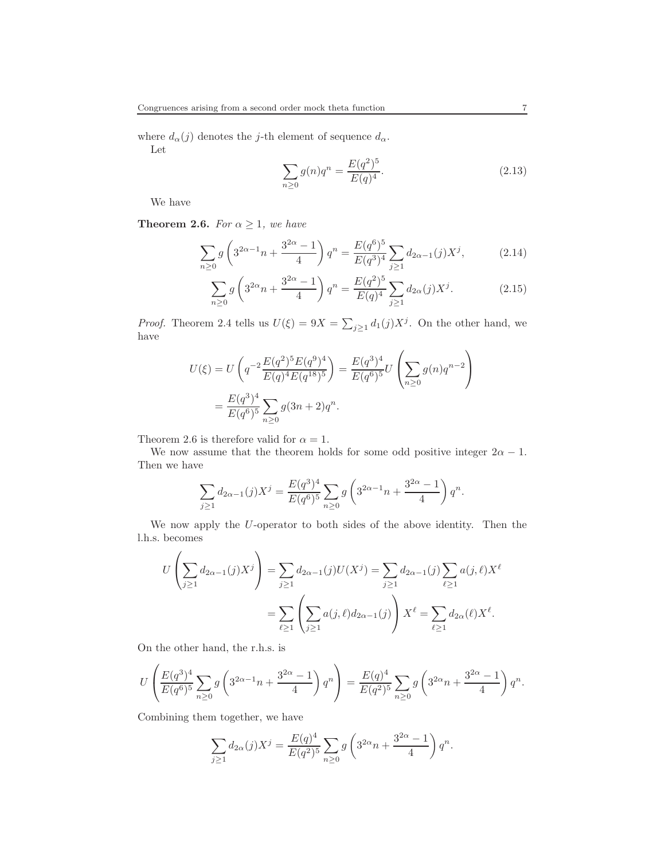where  $d_{\alpha}(j)$  denotes the j-th element of sequence  $d_{\alpha}$ . Let

$$
\sum_{n\geq 0} g(n)q^n = \frac{E(q^2)^5}{E(q)^4}.
$$
\n(2.13)

We have

<span id="page-6-0"></span>**Theorem 2.6.** For  $\alpha \geq 1$ , we have

$$
\sum_{n\geq 0} g\left(3^{2\alpha-1}n + \frac{3^{2\alpha}-1}{4}\right) q^n = \frac{E(q^6)^5}{E(q^3)^4} \sum_{j\geq 1} d_{2\alpha-1}(j) X^j, \tag{2.14}
$$

$$
\sum_{n\geq 0} g\left(3^{2\alpha}n + \frac{3^{2\alpha} - 1}{4}\right) q^n = \frac{E(q^2)^5}{E(q)^4} \sum_{j\geq 1} d_{2\alpha}(j) X^j.
$$
 (2.15)

*Proof.* Theorem [2.4](#page-3-1) tells us  $U(\xi) = 9X = \sum_{j\geq 1} d_1(j)X^j$ . On the other hand, we have

$$
U(\xi) = U\left(q^{-2}\frac{E(q^2)^5 E(q^9)^4}{E(q)^4 E(q^{18})^5}\right) = \frac{E(q^3)^4}{E(q^6)^5} U\left(\sum_{n\geq 0} g(n)q^{n-2}\right)
$$

$$
= \frac{E(q^3)^4}{E(q^6)^5} \sum_{n\geq 0} g(3n+2)q^n.
$$

Theorem [2.6](#page-6-0) is therefore valid for  $\alpha = 1$ .

We now assume that the theorem holds for some odd positive integer  $2\alpha - 1$ . Then we have

$$
\sum_{j\geq 1} d_{2\alpha-1}(j) X^j = \frac{E(q^3)^4}{E(q^6)^5} \sum_{n\geq 0} g\left(3^{2\alpha-1}n + \frac{3^{2\alpha}-1}{4}\right) q^n.
$$

We now apply the U-operator to both sides of the above identity. Then the l.h.s. becomes

$$
U\left(\sum_{j\geq 1}d_{2\alpha-1}(j)X^j\right) = \sum_{j\geq 1}d_{2\alpha-1}(j)U(X^j) = \sum_{j\geq 1}d_{2\alpha-1}(j)\sum_{\ell\geq 1}a(j,\ell)X^{\ell}
$$

$$
= \sum_{\ell\geq 1}\left(\sum_{j\geq 1}a(j,\ell)d_{2\alpha-1}(j)\right)X^{\ell} = \sum_{\ell\geq 1}d_{2\alpha}(\ell)X^{\ell}.
$$

On the other hand, the r.h.s. is

$$
U\left(\frac{E(q^3)^4}{E(q^6)^5}\sum_{n\geq 0}g\left(3^{2\alpha-1}n+\frac{3^{2\alpha}-1}{4}\right)q^n\right)=\frac{E(q)^4}{E(q^2)^5}\sum_{n\geq 0}g\left(3^{2\alpha}n+\frac{3^{2\alpha}-1}{4}\right)q^n.
$$

Combining them together, we have

$$
\sum_{j\geq 1} d_{2\alpha}(j) X^j = \frac{E(q)^4}{E(q^2)^5} \sum_{n\geq 0} g\left(3^{2\alpha} n + \frac{3^{2\alpha} - 1}{4}\right) q^n.
$$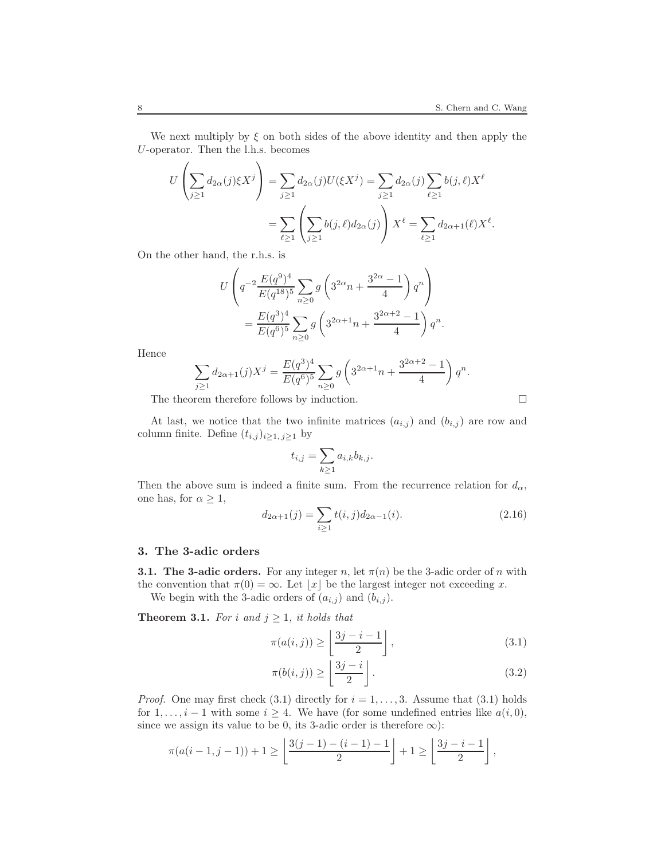We next multiply by  $\xi$  on both sides of the above identity and then apply the U-operator. Then the l.h.s. becomes

$$
U\left(\sum_{j\geq 1}d_{2\alpha}(j)\xi X^j\right) = \sum_{j\geq 1}d_{2\alpha}(j)U(\xi X^j) = \sum_{j\geq 1}d_{2\alpha}(j)\sum_{\ell\geq 1}b(j,\ell)X^{\ell}
$$
  
= 
$$
\sum_{\ell\geq 1}\left(\sum_{j\geq 1}b(j,\ell)d_{2\alpha}(j)\right)X^{\ell} = \sum_{\ell\geq 1}d_{2\alpha+1}(\ell)X^{\ell}.
$$

On the other hand, the r.h.s. is

$$
U\left(q^{-2}\frac{E(q^9)^4}{E(q^{18})^5}\sum_{n\geq 0}g\left(3^{2\alpha}n+\frac{3^{2\alpha}-1}{4}\right)q^n\right)
$$
  
= 
$$
\frac{E(q^3)^4}{E(q^6)^5}\sum_{n\geq 0}g\left(3^{2\alpha+1}n+\frac{3^{2\alpha+2}-1}{4}\right)q^n.
$$

Hence

$$
\sum_{j\geq 1} d_{2\alpha+1}(j)X^j = \frac{E(q^3)^4}{E(q^6)^5} \sum_{n\geq 0} g\left(3^{2\alpha+1}n + \frac{3^{2\alpha+2}-1}{4}\right) q^n.
$$

The theorem therefore follows by induction.  $\Box$ 

At last, we notice that the two infinite matrices  $(a_{i,j})$  and  $(b_{i,j})$  are row and column finite. Define  $(t_{i,j})_{i\geq 1, j\geq 1}$  by

$$
t_{i,j} = \sum_{k \ge 1} a_{i,k} b_{k,j}.
$$

Then the above sum is indeed a finite sum. From the recurrence relation for  $d_{\alpha}$ , one has, for  $\alpha \geq 1$ ,

<span id="page-7-2"></span>
$$
d_{2\alpha+1}(j) = \sum_{i \ge 1} t(i,j) d_{2\alpha-1}(i).
$$
 (2.16)

### 3. The 3-adic orders

**3.1. The 3-adic orders.** For any integer n, let  $\pi(n)$  be the 3-adic order of n with the convention that  $\pi(0) = \infty$ . Let  $\lfloor x \rfloor$  be the largest integer not exceeding x.

We begin with the 3-adic orders of  $(a_{i,j})$  and  $(b_{i,j})$ .

**Theorem 3.1.** For i and  $j \geq 1$ , it holds that

<span id="page-7-0"></span>
$$
\pi(a(i,j)) \ge \left\lfloor \frac{3j-i-1}{2} \right\rfloor, \tag{3.1}
$$

<span id="page-7-1"></span>
$$
\pi(b(i,j)) \ge \left\lfloor \frac{3j-i}{2} \right\rfloor. \tag{3.2}
$$

*Proof.* One may first check [\(3.1\)](#page-7-0) directly for  $i = 1, \ldots, 3$ . Assume that (3.1) holds for  $1, \ldots, i-1$  with some  $i \geq 4$ . We have (for some undefined entries like  $a(i, 0)$ , since we assign its value to be 0, its 3-adic order is therefore  $\infty$ ):

$$
\pi(a(i-1,j-1))+1\geq \left\lfloor \frac{3(j-1)-(i-1)-1}{2}\right\rfloor +1\geq \left\lfloor \frac{3j-i-1}{2}\right\rfloor,
$$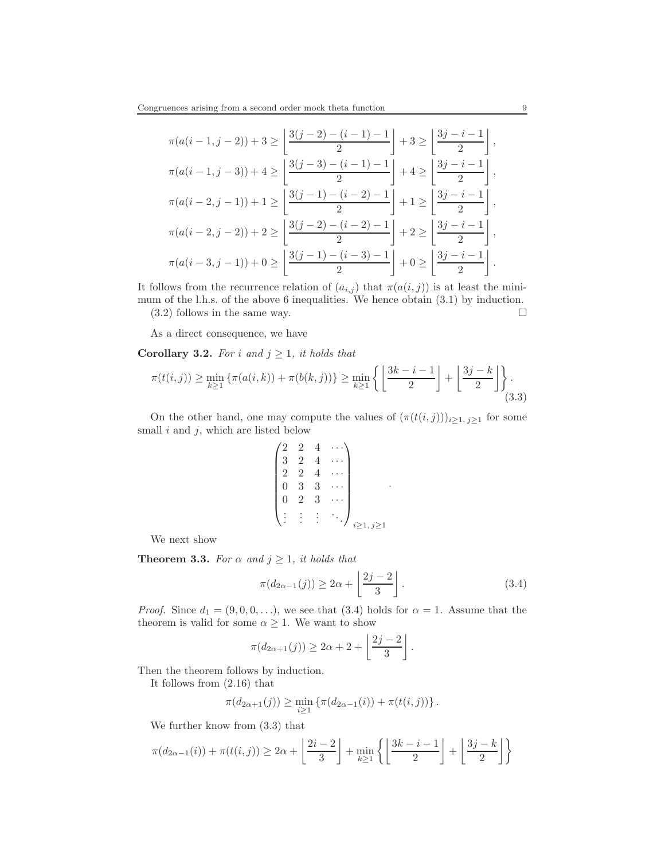$$
\pi(a(i-1,j-2)) + 3 \ge \left\lfloor \frac{3(j-2) - (i-1) - 1}{2} \right\rfloor + 3 \ge \left\lfloor \frac{3j - i - 1}{2} \right\rfloor,
$$
  

$$
\pi(a(i-1,j-3)) + 4 \ge \left\lfloor \frac{3(j-3) - (i-1) - 1}{2} \right\rfloor + 4 \ge \left\lfloor \frac{3j - i - 1}{2} \right\rfloor,
$$
  

$$
\pi(a(i-2,j-1)) + 1 \ge \left\lfloor \frac{3(j-1) - (i-2) - 1}{2} \right\rfloor + 1 \ge \left\lfloor \frac{3j - i - 1}{2} \right\rfloor,
$$
  

$$
\pi(a(i-2,j-2)) + 2 \ge \left\lfloor \frac{3(j-2) - (i-2) - 1}{2} \right\rfloor + 2 \ge \left\lfloor \frac{3j - i - 1}{2} \right\rfloor,
$$
  

$$
\pi(a(i-3,j-1)) + 0 \ge \left\lfloor \frac{3(j-1) - (i-3) - 1}{2} \right\rfloor + 0 \ge \left\lfloor \frac{3j - i - 1}{2} \right\rfloor.
$$

It follows from the recurrence relation of  $(a_{i,j})$  that  $\pi(a(i,j))$  is at least the minimum of the l.h.s. of the above 6 inequalities. We hence obtain [\(3.1\)](#page-7-0) by induction.  $(3.2)$  follows in the same way.

As a direct consequence, we have

Corollary 3.2. For i and  $j \geq 1$ , it holds that

<span id="page-8-1"></span>
$$
\pi(t(i,j)) \ge \min_{k\ge 1} \left\{ \pi(a(i,k)) + \pi(b(k,j)) \right\} \ge \min_{k\ge 1} \left\{ \left\lfloor \frac{3k-i-1}{2} \right\rfloor + \left\lfloor \frac{3j-k}{2} \right\rfloor \right\}.
$$
\n(3.3)

On the other hand, one may compute the values of  $(\pi(t(i,j)))_{i\geq 1, j\geq 1}$  for some small  $i$  and  $j$ , which are listed below

$$
\begin{pmatrix} 2 & 2 & 4 & \cdots \\ 3 & 2 & 4 & \cdots \\ 2 & 2 & 4 & \cdots \\ 0 & 3 & 3 & \cdots \\ 0 & 2 & 3 & \cdots \\ \vdots & \vdots & \vdots & \ddots \end{pmatrix}_{i \ge 1, j \ge 1}
$$

We next show

<span id="page-8-2"></span>**Theorem 3.3.** For  $\alpha$  and  $j \geq 1$ , it holds that

$$
\pi(d_{2\alpha-1}(j)) \ge 2\alpha + \left\lfloor \frac{2j-2}{3} \right\rfloor. \tag{3.4}
$$

<span id="page-8-0"></span>.

*Proof.* Since  $d_1 = (9, 0, 0, \ldots)$ , we see that  $(3.4)$  holds for  $\alpha = 1$ . Assume that the theorem is valid for some  $\alpha \geq 1$ . We want to show

$$
\pi(d_{2\alpha+1}(j)) \ge 2\alpha+2+\left\lfloor \frac{2j-2}{3} \right\rfloor.
$$

Then the theorem follows by induction.

It follows from [\(2.16\)](#page-7-2) that

$$
\pi(d_{2\alpha+1}(j)) \ge \min_{i \ge 1} \{ \pi(d_{2\alpha-1}(i)) + \pi(t(i,j)) \}.
$$

We further know from [\(3.3\)](#page-8-1) that

$$
\pi(d_{2\alpha-1}(i)) + \pi(t(i,j)) \ge 2\alpha + \left\lfloor \frac{2i-2}{3} \right\rfloor + \min_{k \ge 1} \left\{ \left\lfloor \frac{3k-i-1}{2} \right\rfloor + \left\lfloor \frac{3j-k}{2} \right\rfloor \right\}
$$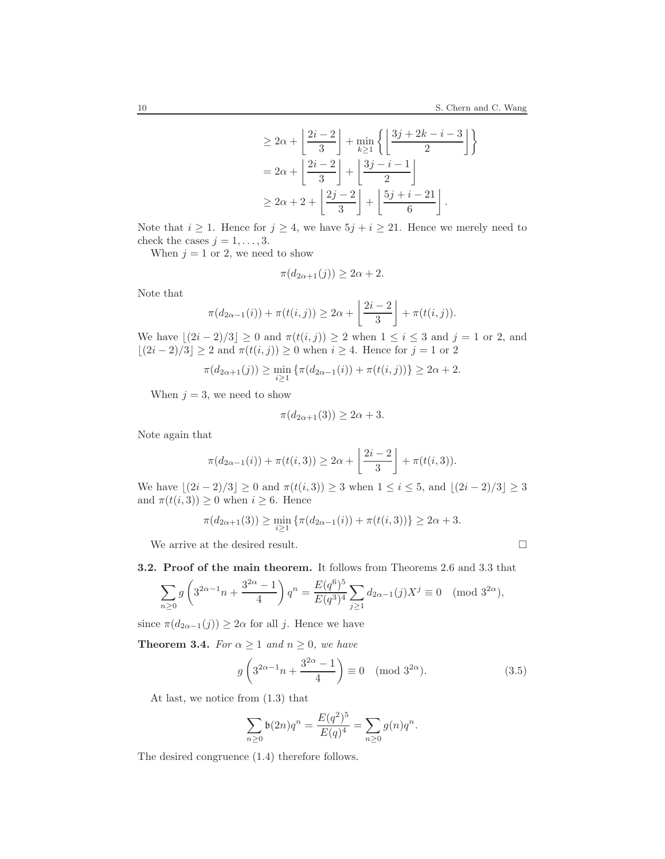$$
\geq 2\alpha + \left\lfloor \frac{2i-2}{3} \right\rfloor + \min_{k \geq 1} \left\{ \left\lfloor \frac{3j+2k-i-3}{2} \right\rfloor \right\}
$$

$$
= 2\alpha + \left\lfloor \frac{2i-2}{3} \right\rfloor + \left\lfloor \frac{3j-i-1}{2} \right\rfloor
$$

$$
\geq 2\alpha + 2 + \left\lfloor \frac{2j-2}{3} \right\rfloor + \left\lfloor \frac{5j+i-21}{6} \right\rfloor.
$$

Note that  $i \geq 1$ . Hence for  $j \geq 4$ , we have  $5j + i \geq 21$ . Hence we merely need to check the cases  $j = 1, \ldots, 3$ .

When  $j = 1$  or 2, we need to show

$$
\pi(d_{2\alpha+1}(j)) \ge 2\alpha+2.
$$

Note that

$$
\pi(d_{2\alpha-1}(i)) + \pi(t(i,j)) \ge 2\alpha + \left\lfloor \frac{2i-2}{3} \right\rfloor + \pi(t(i,j)).
$$

We have  $\lfloor (2i - 2)/3 \rfloor \ge 0$  and  $\pi(t(i, j)) \ge 2$  when  $1 \le i \le 3$  and  $j = 1$  or 2, and  $\lfloor (2i - 2)/3 \rfloor \ge 2$  and  $\pi(t(i, j)) \ge 0$  when  $i \ge 4$ . Hence for  $j = 1$  or 2

$$
\pi(d_{2\alpha+1}(j)) \ge \min_{i \ge 1} \{ \pi(d_{2\alpha-1}(i)) + \pi(t(i,j)) \} \ge 2\alpha + 2.
$$

When  $j = 3$ , we need to show

$$
\pi(d_{2\alpha+1}(3)) \ge 2\alpha+3.
$$

Note again that

$$
\pi(d_{2\alpha-1}(i)) + \pi(t(i,3)) \ge 2\alpha + \left\lfloor \frac{2i-2}{3} \right\rfloor + \pi(t(i,3)).
$$

We have  $\lfloor (2i - 2)/3 \rfloor \ge 0$  and  $\pi(t(i, 3)) \ge 3$  when  $1 \le i \le 5$ , and  $\lfloor (2i - 2)/3 \rfloor \ge 3$ and  $\pi(t(i, 3)) \geq 0$  when  $i \geq 6$ . Hence

$$
\pi(d_{2\alpha+1}(3)) \ge \min_{i \ge 1} \{ \pi(d_{2\alpha-1}(i)) + \pi(t(i,3)) \} \ge 2\alpha + 3.
$$

We arrive at the desired result.

3.2. Proof of the main theorem. It follows from Theorems [2.6](#page-6-0) and [3.3](#page-8-2) that

$$
\sum_{n\geq 0} g\left(3^{2\alpha-1}n + \frac{3^{2\alpha}-1}{4}\right) q^n = \frac{E(q^6)^5}{E(q^3)^4} \sum_{j\geq 1} d_{2\alpha-1}(j) X^j \equiv 0 \pmod{3^{2\alpha}},
$$

since  $\pi(d_{2\alpha-1}(j)) \geq 2\alpha$  for all j. Hence we have

**Theorem 3.4.** For  $\alpha \geq 1$  and  $n \geq 0$ , we have

$$
g\left(3^{2\alpha-1}n+\frac{3^{2\alpha}-1}{4}\right) \equiv 0 \pmod{3^{2\alpha}}.
$$
 (3.5)

At last, we notice from [\(1.3\)](#page-1-0) that

$$
\sum_{n\geq 0} \mathfrak{b}(2n)q^n = \frac{E(q^2)^5}{E(q)^4} = \sum_{n\geq 0} g(n)q^n.
$$

The desired congruence [\(1.4\)](#page-1-2) therefore follows.

$$
\Box
$$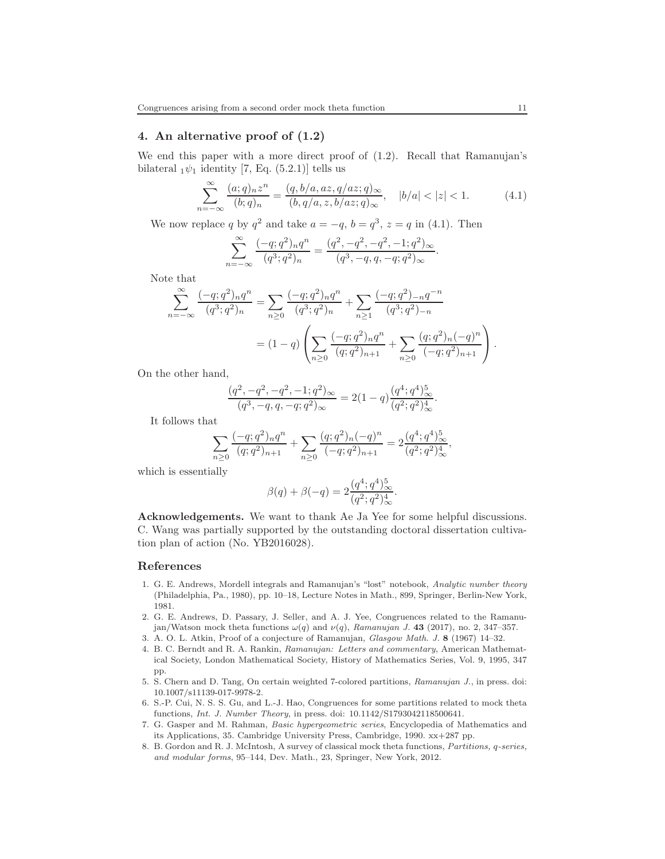## 4. An alternative proof of [\(1.2\)](#page-1-3)

We end this paper with a more direct proof of [\(1.2\)](#page-1-3). Recall that Ramanujan's bilateral  $_1\psi_1$  identity [\[7,](#page-10-7) Eq. (5.2.1)] tells us

<span id="page-10-8"></span>
$$
\sum_{n=-\infty}^{\infty} \frac{(a;q)_n z^n}{(b;q)_n} = \frac{(q,b/a,az,q/az;q)_\infty}{(b,q/a,z,b/az;q)_\infty}, \quad |b/a| < |z| < 1.
$$
 (4.1)

We now replace q by  $q^2$  and take  $a = -q$ ,  $b = q^3$ ,  $z = q$  in [\(4.1\)](#page-10-8). Then

$$
\sum_{n=-\infty}^{\infty} \frac{(-q;q^2)_n q^n}{(q^3;q^2)_n} = \frac{(q^2,-q^2,-q^2,-1;q^2)_{\infty}}{(q^3,-q,q,-q;q^2)_{\infty}}.
$$

Note that

$$
\sum_{n=-\infty}^{\infty} \frac{(-q;q^2)_n q^n}{(q^3;q^2)_n} = \sum_{n\geq 0} \frac{(-q;q^2)_n q^n}{(q^3;q^2)_n} + \sum_{n\geq 1} \frac{(-q;q^2)_{-n} q^{-n}}{(q^3;q^2)_{-n}}
$$
  
=  $(1-q) \left( \sum_{n\geq 0} \frac{(-q;q^2)_n q^n}{(q;q^2)_{n+1}} + \sum_{n\geq 0} \frac{(q;q^2)_n (-q)^n}{(-q;q^2)_{n+1}} \right).$ 

On the other hand,

$$
\frac{(q^2,-q^2,-q^2,-1;q^2)_{\infty}}{(q^3,-q,q,-q;q^2)_{\infty}} = 2(1-q)\frac{(q^4;q^4)_\infty^5}{(q^2;q^2)_\infty^4}.
$$

It follows that

$$
\sum_{n\geq 0} \frac{(-q;q^2)_n q^n}{(q;q^2)_{n+1}} + \sum_{n\geq 0} \frac{(q;q^2)_n (-q)^n}{(-q;q^2)_{n+1}} = 2 \frac{(q^4;q^4)_\infty^5}{(q^2;q^2)_\infty^4},
$$

which is essentially

$$
\beta(q) + \beta(-q) = 2 \frac{(q^4; q^4)_{\infty}^5}{(q^2; q^2)_{\infty}^4}.
$$

Acknowledgements. We want to thank Ae Ja Yee for some helpful discussions. C. Wang was partially supported by the outstanding doctoral dissertation cultivation plan of action (No. YB2016028).

#### <span id="page-10-2"></span>References

- 1. G. E. Andrews, Mordell integrals and Ramanujan's "lost" notebook, *Analytic number theory* (Philadelphia, Pa., 1980), pp. 10–18, Lecture Notes in Math., 899, Springer, Berlin-New York, 1981.
- <span id="page-10-3"></span>2. G. E. Andrews, D. Passary, J. Seller, and A. J. Yee, Congruences related to the Ramanujan/Watson mock theta functions  $\omega(q)$  and  $\nu(q)$ , *Ramanujan J.* 43 (2017), no. 2, 347–357.
- <span id="page-10-5"></span><span id="page-10-0"></span>3. A. O. L. Atkin, Proof of a conjecture of Ramanujan, *Glasgow Math. J.* 8 (1967) 14–32.
- 4. B. C. Berndt and R. A. Rankin, *Ramanujan: Letters and commentary*, American Mathematical Society, London Mathematical Society, History of Mathematics Series, Vol. 9, 1995, 347 pp.
- <span id="page-10-6"></span>5. S. Chern and D. Tang, On certain weighted 7-colored partitions, *Ramanujan J.*, in press. doi: 10.1007/s11139-017-9978-2.
- <span id="page-10-4"></span>6. S.-P. Cui, N. S. S. Gu, and L.-J. Hao, Congruences for some partitions related to mock theta functions, *Int. J. Number Theory*, in press. doi: 10.1142/S1793042118500641.
- <span id="page-10-7"></span>7. G. Gasper and M. Rahman, *Basic hypergeometric series*, Encyclopedia of Mathematics and its Applications, 35. Cambridge University Press, Cambridge, 1990. xx+287 pp.
- <span id="page-10-1"></span>8. B. Gordon and R. J. McIntosh, A survey of classical mock theta functions, *Partitions,* q*-series, and modular forms*, 95–144, Dev. Math., 23, Springer, New York, 2012.